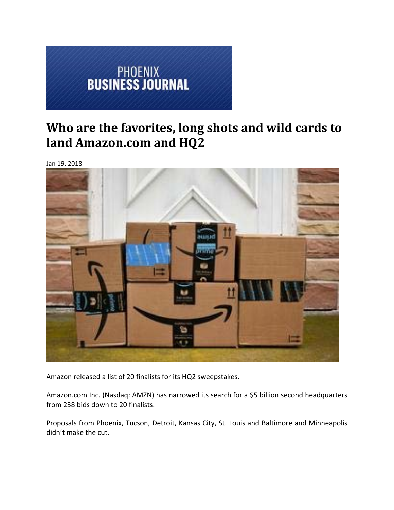

# **Who are the favorites, long shots and wild cards to land Amazon.com and HQ2**

Jan 19, 2018



Amazon released a list of 20 finalists for its HQ2 sweepstakes.

Amazon.com Inc. (Nasdaq: AMZN) has narrowed its search for a \$5 billion second headquarters from 238 bids down to 20 finalists.

Proposals from Phoenix, Tucson, Detroit, Kansas City, St. Louis and Baltimore and Minneapolis didn't make the cut.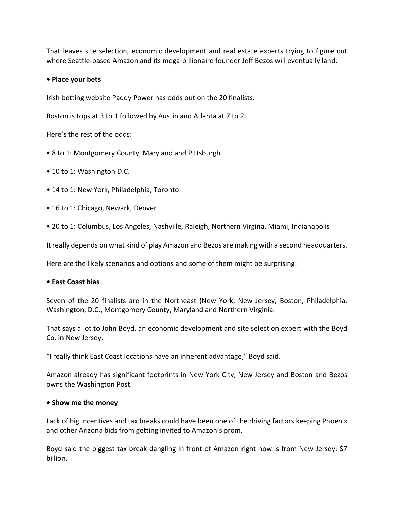That leaves site selection, economic development and real estate experts trying to figure out where Seattle-based Amazon and its mega-billionaire founder Jeff Bezos will eventually land.

## **• Place your bets**

Irish betting website Paddy Power has odds out on the 20 finalists.

Boston is tops at 3 to 1 followed by Austin and Atlanta at 7 to 2.

Here's the rest of the odds:

- 8 to 1: Montgomery County, Maryland and Pittsburgh
- 10 to 1: Washington D.C.
- 14 to 1: New York, Philadelphia, Toronto
- 16 to 1: Chicago, Newark, Denver
- 20 to 1: Columbus, Los Angeles, Nashville, Raleigh, Northern Virgina, Miami, Indianapolis

It really depends on what kind of play Amazon and Bezos are making with a second headquarters.

Here are the likely scenarios and options and some of them might be surprising:

#### **• East Coast bias**

Seven of the 20 finalists are in the Northeast (New York, New Jersey, Boston, Philadelphia, Washington, D.C., Montgomery County, Maryland and Northern Virginia.

That says a lot to John Boyd, an economic development and site selection expert with the Boyd Co. in New Jersey,

"I really think East Coast locations have an inherent advantage," Boyd said.

Amazon already has significant footprints in New York City, New Jersey and Boston and Bezos owns the Washington Post.

#### **• Show me the money**

Lack of big incentives and tax breaks could have been one of the driving factors keeping Phoenix and other Arizona bids from getting invited to Amazon's prom.

Boyd said the biggest tax break dangling in front of Amazon right now is from New Jersey: \$7 billion.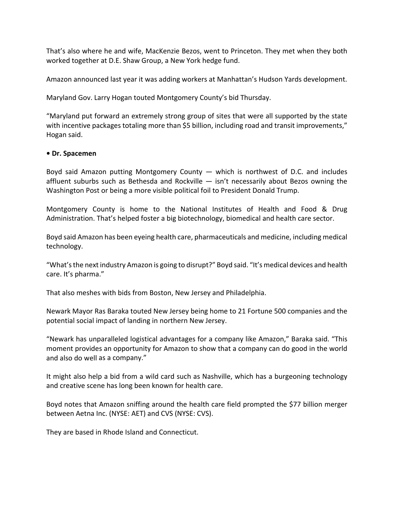That's also where he and wife, MacKenzie Bezos, went to Princeton. They met when they both worked together at D.E. Shaw Group, a New York hedge fund.

Amazon announced last year it was adding workers at Manhattan's Hudson Yards development.

Maryland Gov. Larry Hogan touted Montgomery County's bid Thursday.

"Maryland put forward an extremely strong group of sites that were all supported by the state with incentive packages totaling more than \$5 billion, including road and transit improvements," Hogan said.

#### **• Dr. Spacemen**

Boyd said Amazon putting Montgomery County — which is northwest of D.C. and includes affluent suburbs such as Bethesda and Rockville — isn't necessarily about Bezos owning the Washington Post or being a more visible political foil to President Donald Trump.

Montgomery County is home to the National Institutes of Health and Food & Drug Administration. That's helped foster a big biotechnology, biomedical and health care sector.

Boyd said Amazon has been eyeing health care, pharmaceuticals and medicine, including medical technology.

"What'sthe next industry Amazon is going to disrupt?" Boyd said. "It's medical devices and health care. It's pharma."

That also meshes with bids from Boston, New Jersey and Philadelphia.

Newark Mayor Ras Baraka touted New Jersey being home to 21 Fortune 500 companies and the potential social impact of landing in northern New Jersey.

"Newark has unparalleled logistical advantages for a company like Amazon," Baraka said. "This moment provides an opportunity for Amazon to show that a company can do good in the world and also do well as a company."

It might also help a bid from a wild card such as Nashville, which has a burgeoning technology and creative scene has long been known for health care.

Boyd notes that Amazon sniffing around the health care field prompted the \$77 billion merger between Aetna Inc. (NYSE: AET) and CVS (NYSE: CVS).

They are based in Rhode Island and Connecticut.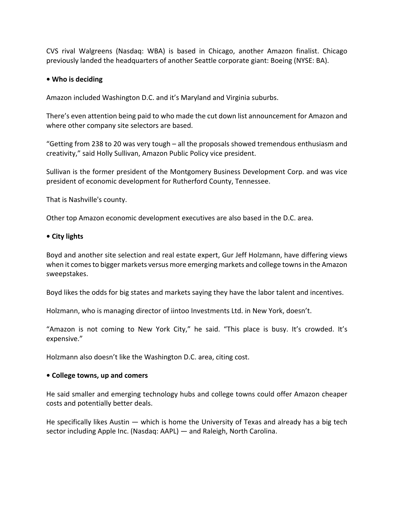CVS rival Walgreens (Nasdaq: WBA) is based in Chicago, another Amazon finalist. Chicago previously landed the headquarters of another Seattle corporate giant: Boeing (NYSE: BA).

## **• Who is deciding**

Amazon included Washington D.C. and it's Maryland and Virginia suburbs.

There's even attention being paid to who made the cut down list announcement for Amazon and where other company site selectors are based.

"Getting from 238 to 20 was very tough – all the proposals showed tremendous enthusiasm and creativity," said Holly Sullivan, Amazon Public Policy vice president.

Sullivan is the former president of the Montgomery Business Development Corp. and was vice president of economic development for Rutherford County, Tennessee.

That is Nashville's county.

Other top Amazon economic development executives are also based in the D.C. area.

#### **• City lights**

Boyd and another site selection and real estate expert, Gur Jeff Holzmann, have differing views when it comes to bigger markets versus more emerging markets and college towns in the Amazon sweepstakes.

Boyd likes the odds for big states and markets saying they have the labor talent and incentives.

Holzmann, who is managing director of iintoo Investments Ltd. in New York, doesn't.

"Amazon is not coming to New York City," he said. "This place is busy. It's crowded. It's expensive."

Holzmann also doesn't like the Washington D.C. area, citing cost.

#### **• College towns, up and comers**

He said smaller and emerging technology hubs and college towns could offer Amazon cheaper costs and potentially better deals.

He specifically likes Austin — which is home the University of Texas and already has a big tech sector including Apple Inc. (Nasdaq: AAPL) — and Raleigh, North Carolina.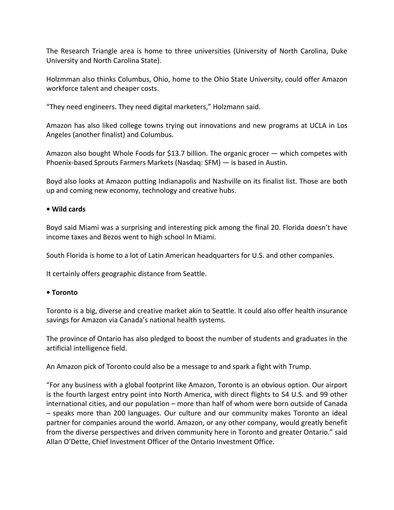The Research Triangle area is home to three universities (University of North Carolina, Duke University and North Carolina State).

Holzmman also thinks Columbus, Ohio, home to the Ohio State University, could offer Amazon workforce talent and cheaper costs.

"They need engineers. They need digital marketers," Holzmann said.

Amazon has also liked college towns trying out innovations and new programs at UCLA in Los Angeles (another finalist) and Columbus.

Amazon also bought Whole Foods for \$13.7 billion. The organic grocer — which competes with Phoenix‐based Sprouts Farmers Markets (Nasdaq: SFM) — is based in Austin.

Boyd also looks at Amazon putting Indianapolis and Nashville on its finalist list. Those are both up and coming new economy, technology and creative hubs.

# **• Wild cards**

Boyd said Miami was a surprising and interesting pick among the final 20. Florida doesn't have income taxes and Bezos went to high school In Miami.

South Florida is home to a lot of Latin American headquarters for U.S. and other companies.

It certainly offers geographic distance from Seattle.

#### **• Toronto**

Toronto is a big, diverse and creative market akin to Seattle. It could also offer health insurance savings for Amazon via Canada's national health systems.

The province of Ontario has also pledged to boost the number of students and graduates in the artificial intelligence field.

An Amazon pick of Toronto could also be a message to and spark a fight with Trump.

"For any business with a global footprint like Amazon, Toronto is an obvious option. Our airport is the fourth largest entry point into North America, with direct flights to 54 U.S. and 99 other international cities, and our population – more than half of whom were born outside of Canada – speaks more than 200 languages. Our culture and our community makes Toronto an ideal partner for companies around the world. Amazon, or any other company, would greatly benefit from the diverse perspectives and driven community here in Toronto and greater Ontario." said Allan O'Dette, Chief Investment Officer of the Ontario Investment Office.